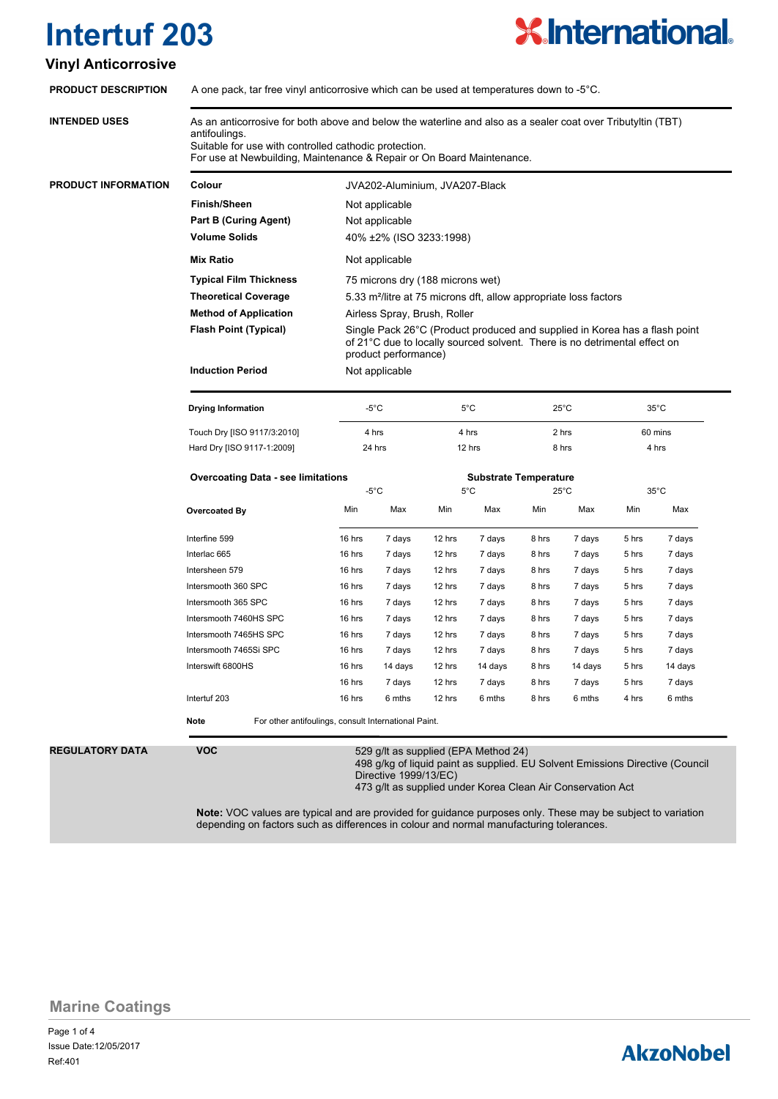# **X.International.**

#### **Vinyl Anticorrosive**

| <b>INTENDED USES</b>       | As an anticorrosive for both above and below the waterline and also as a sealer coat over Tributyltin (TBT)<br>antifoulings.<br>Suitable for use with controlled cathodic protection.<br>For use at Newbuilding, Maintenance & Repair or On Board Maintenance. |                                                                                                                                                                                                               |         |                              |         |                |         |                |         |  |  |
|----------------------------|----------------------------------------------------------------------------------------------------------------------------------------------------------------------------------------------------------------------------------------------------------------|---------------------------------------------------------------------------------------------------------------------------------------------------------------------------------------------------------------|---------|------------------------------|---------|----------------|---------|----------------|---------|--|--|
|                            |                                                                                                                                                                                                                                                                |                                                                                                                                                                                                               |         |                              |         |                |         |                |         |  |  |
| <b>PRODUCT INFORMATION</b> | Colour                                                                                                                                                                                                                                                         | JVA202-Aluminium, JVA207-Black                                                                                                                                                                                |         |                              |         |                |         |                |         |  |  |
|                            | <b>Finish/Sheen</b>                                                                                                                                                                                                                                            | Not applicable                                                                                                                                                                                                |         |                              |         |                |         |                |         |  |  |
|                            | <b>Part B (Curing Agent)</b>                                                                                                                                                                                                                                   | Not applicable                                                                                                                                                                                                |         |                              |         |                |         |                |         |  |  |
|                            | <b>Volume Solids</b>                                                                                                                                                                                                                                           | 40% ±2% (ISO 3233:1998)                                                                                                                                                                                       |         |                              |         |                |         |                |         |  |  |
|                            | <b>Mix Ratio</b>                                                                                                                                                                                                                                               | Not applicable                                                                                                                                                                                                |         |                              |         |                |         |                |         |  |  |
|                            | <b>Typical Film Thickness</b>                                                                                                                                                                                                                                  | 75 microns dry (188 microns wet)                                                                                                                                                                              |         |                              |         |                |         |                |         |  |  |
|                            | <b>Theoretical Coverage</b>                                                                                                                                                                                                                                    | 5.33 m <sup>2</sup> /litre at 75 microns dft, allow appropriate loss factors                                                                                                                                  |         |                              |         |                |         |                |         |  |  |
|                            | <b>Method of Application</b>                                                                                                                                                                                                                                   | Airless Spray, Brush, Roller                                                                                                                                                                                  |         |                              |         |                |         |                |         |  |  |
|                            | <b>Flash Point (Typical)</b>                                                                                                                                                                                                                                   | Single Pack 26°C (Product produced and supplied in Korea has a flash point<br>of 21°C due to locally sourced solvent. There is no detrimental effect on<br>product performance)                               |         |                              |         |                |         |                |         |  |  |
|                            | <b>Induction Period</b>                                                                                                                                                                                                                                        | Not applicable                                                                                                                                                                                                |         |                              |         |                |         |                |         |  |  |
|                            | <b>Drying Information</b>                                                                                                                                                                                                                                      | $-5^{\circ}$ C                                                                                                                                                                                                |         | $5^{\circ}$ C                |         | $25^{\circ}$ C |         | $35^{\circ}$ C |         |  |  |
|                            | Touch Dry [ISO 9117/3:2010]                                                                                                                                                                                                                                    | 4 hrs                                                                                                                                                                                                         |         | 4 hrs                        |         | 2 hrs          |         | 60 mins        |         |  |  |
|                            | Hard Dry [ISO 9117-1:2009]                                                                                                                                                                                                                                     | 24 hrs<br>12 hrs<br>8 hrs                                                                                                                                                                                     |         |                              |         | 4 hrs          |         |                |         |  |  |
|                            | <b>Overcoating Data - see limitations</b>                                                                                                                                                                                                                      |                                                                                                                                                                                                               |         | <b>Substrate Temperature</b> |         |                |         |                |         |  |  |
|                            |                                                                                                                                                                                                                                                                | $-5^{\circ}$ C                                                                                                                                                                                                |         | 5°C                          |         | $25^{\circ}$ C |         | $35^{\circ}$ C |         |  |  |
|                            | Overcoated By                                                                                                                                                                                                                                                  | Min                                                                                                                                                                                                           | Max     | Min                          | Max     | Min            | Max     | Min            | Max     |  |  |
|                            | Interfine 599                                                                                                                                                                                                                                                  | 16 hrs                                                                                                                                                                                                        | 7 days  | 12 hrs                       | 7 days  | 8 hrs          | 7 days  | 5 hrs          | 7 days  |  |  |
|                            | Interlac 665                                                                                                                                                                                                                                                   | 16 hrs                                                                                                                                                                                                        | 7 days  | 12 hrs                       | 7 days  | 8 hrs          | 7 days  | 5 hrs          | 7 days  |  |  |
|                            | Intersheen 579                                                                                                                                                                                                                                                 | 16 hrs                                                                                                                                                                                                        | 7 days  | 12 hrs                       | 7 days  | 8 hrs          | 7 days  | 5 hrs          | 7 days  |  |  |
|                            | Intersmooth 360 SPC                                                                                                                                                                                                                                            | 16 hrs                                                                                                                                                                                                        | 7 days  | 12 hrs                       | 7 days  | 8 hrs          | 7 days  | 5 hrs          | 7 days  |  |  |
|                            | Intersmooth 365 SPC                                                                                                                                                                                                                                            | 16 hrs                                                                                                                                                                                                        | 7 days  | 12 hrs                       | 7 days  | 8 hrs          | 7 days  | 5 hrs          | 7 days  |  |  |
|                            | Intersmooth 7460HS SPC                                                                                                                                                                                                                                         | 16 hrs                                                                                                                                                                                                        | 7 days  | 12 hrs                       | 7 days  | 8 hrs          | 7 days  | 5 hrs          | 7 days  |  |  |
|                            | Intersmooth 7465HS SPC                                                                                                                                                                                                                                         | 16 hrs                                                                                                                                                                                                        | 7 days  | 12 hrs                       | 7 days  | 8 hrs          | 7 days  | 5 hrs          | 7 days  |  |  |
|                            | Intersmooth 7465Si SPC                                                                                                                                                                                                                                         | 16 hrs                                                                                                                                                                                                        | 7 days  | 12 hrs                       | 7 days  | 8 hrs          | 7 days  | 5 hrs          | 7 days  |  |  |
|                            | Interswift 6800HS                                                                                                                                                                                                                                              | 16 hrs                                                                                                                                                                                                        | 14 days | 12 hrs                       | 14 days | 8 hrs          | 14 days | 5 hrs          | 14 days |  |  |
|                            |                                                                                                                                                                                                                                                                | 16 hrs                                                                                                                                                                                                        | 7 days  | 12 hrs                       | 7 days  | 8 hrs          | 7 days  | 5 hrs          | 7 days  |  |  |
|                            | Intertuf 203                                                                                                                                                                                                                                                   | 16 hrs                                                                                                                                                                                                        | 6 mths  | 12 hrs                       | 6 mths  | 8 hrs          | 6 mths  | 4 hrs          | 6 mths  |  |  |
|                            | For other antifoulings, consult International Paint.<br><b>Note</b>                                                                                                                                                                                            |                                                                                                                                                                                                               |         |                              |         |                |         |                |         |  |  |
| <b>REGULATORY DATA</b>     | <b>VOC</b>                                                                                                                                                                                                                                                     | 529 g/lt as supplied (EPA Method 24)<br>498 g/kg of liquid paint as supplied. EU Solvent Emissions Directive (Council<br>Directive 1999/13/EC)<br>473 g/lt as supplied under Korea Clean Air Conservation Act |         |                              |         |                |         |                |         |  |  |

**Marine Coatings**

Page 1 of 4 Ref:401 Issue Date:12/05/2017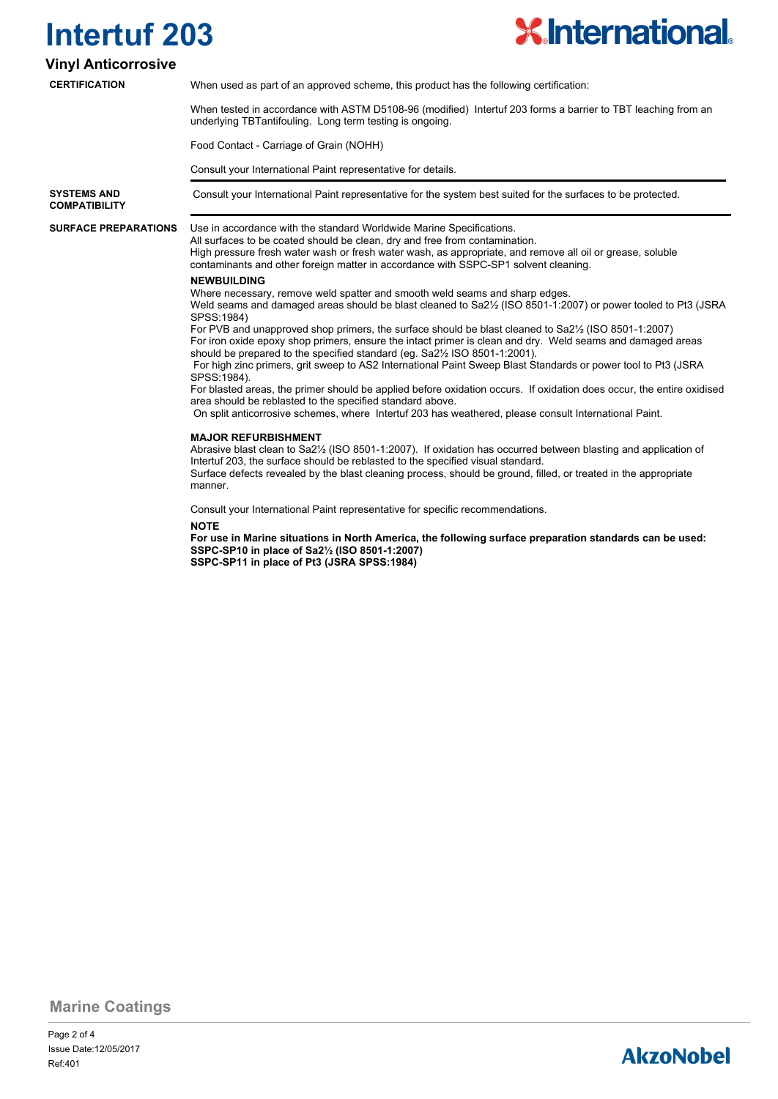

#### **Vinyl Anticorrosive**

**CERTIFICATION**

When used as part of an approved scheme, this product has the following certification:

When tested in accordance with ASTM D5108-96 (modified) Intertuf 203 forms a barrier to TBT leaching from an underlying TBTantifouling. Long term testing is ongoing.

Food Contact - Carriage of Grain (NOHH)

Consult your International Paint representative for details.

**COMPATIBILITY**

**SYSTEMS AND** Consult your International Paint representative for the system best suited for the surfaces to be protected.

**SURFACE PREPARATIONS**

Use in accordance with the standard Worldwide Marine Specifications.

All surfaces to be coated should be clean, dry and free from contamination. High pressure fresh water wash or fresh water wash, as appropriate, and remove all oil or grease, soluble contaminants and other foreign matter in accordance with SSPC-SP1 solvent cleaning.

#### **NEWBUILDING**

Where necessary, remove weld spatter and smooth weld seams and sharp edges.

Weld seams and damaged areas should be blast cleaned to Sa2½ (ISO 8501-1:2007) or power tooled to Pt3 (JSRA SPSS:1984)

For PVB and unapproved shop primers, the surface should be blast cleaned to Sa2½ (ISO 8501-1:2007) For iron oxide epoxy shop primers, ensure the intact primer is clean and dry. Weld seams and damaged areas should be prepared to the specified standard (eg. Sa2½ ISO 8501-1:2001).

 For high zinc primers, grit sweep to AS2 International Paint Sweep Blast Standards or power tool to Pt3 (JSRA SPSS:1984).

For blasted areas, the primer should be applied before oxidation occurs. If oxidation does occur, the entire oxidised area should be reblasted to the specified standard above.

On split anticorrosive schemes, where Intertuf 203 has weathered, please consult International Paint.

#### **MAJOR REFURBISHMENT**

Abrasive blast clean to Sa2½ (ISO 8501-1:2007). If oxidation has occurred between blasting and application of Intertuf 203, the surface should be reblasted to the specified visual standard. Surface defects revealed by the blast cleaning process, should be ground, filled, or treated in the appropriate manner.

Consult your International Paint representative for specific recommendations.

**NOTE**

**For use in Marine situations in North America, the following surface preparation standards can be used: SSPC-SP10 in place of Sa2½ (ISO 8501-1:2007) SSPC-SP11 in place of Pt3 (JSRA SPSS:1984)**

**Marine Coatings**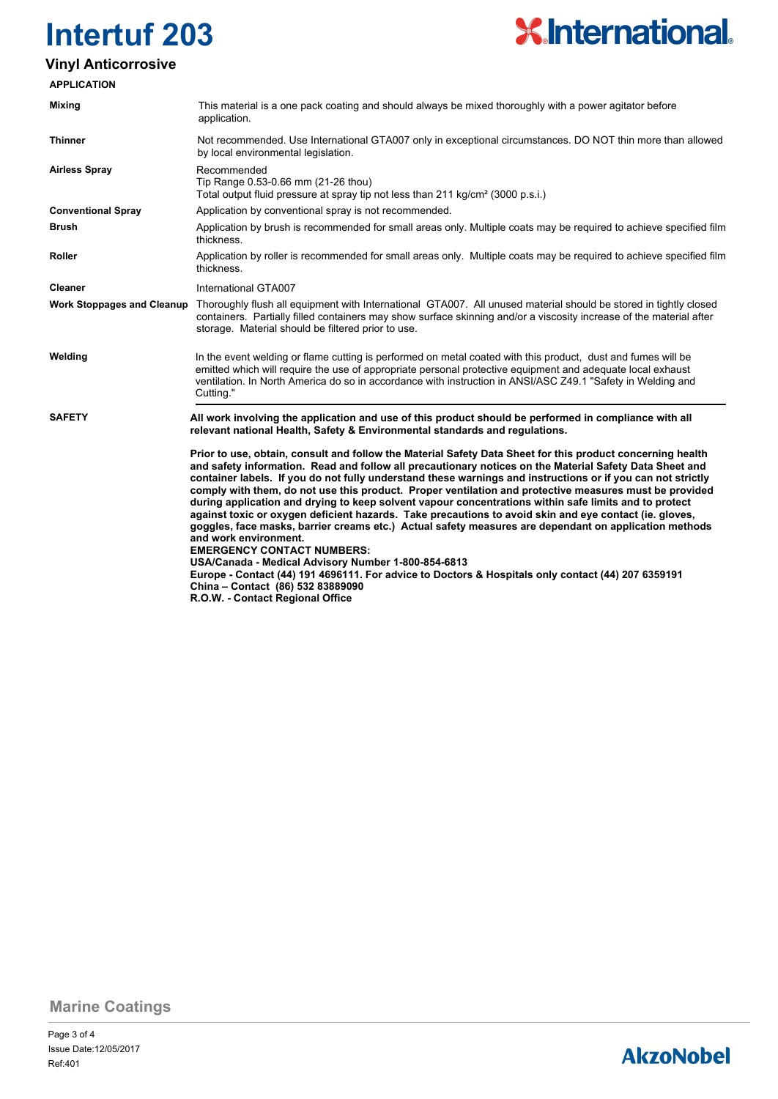

### **Vinyl Anticorrosive**

| <b>APPLICATION</b>                |                                                                                                                                                                                                                                                                                                                                                                                                                                                                                                                                                                                                                                                                                                                                                                                                                                                                                                                                                                                                                                                                                |  |
|-----------------------------------|--------------------------------------------------------------------------------------------------------------------------------------------------------------------------------------------------------------------------------------------------------------------------------------------------------------------------------------------------------------------------------------------------------------------------------------------------------------------------------------------------------------------------------------------------------------------------------------------------------------------------------------------------------------------------------------------------------------------------------------------------------------------------------------------------------------------------------------------------------------------------------------------------------------------------------------------------------------------------------------------------------------------------------------------------------------------------------|--|
| <b>Mixing</b>                     | This material is a one pack coating and should always be mixed thoroughly with a power agitator before<br>application.                                                                                                                                                                                                                                                                                                                                                                                                                                                                                                                                                                                                                                                                                                                                                                                                                                                                                                                                                         |  |
| <b>Thinner</b>                    | Not recommended. Use International GTA007 only in exceptional circumstances. DO NOT thin more than allowed<br>by local environmental legislation.                                                                                                                                                                                                                                                                                                                                                                                                                                                                                                                                                                                                                                                                                                                                                                                                                                                                                                                              |  |
| <b>Airless Spray</b>              | Recommended<br>Tip Range 0.53-0.66 mm (21-26 thou)<br>Total output fluid pressure at spray tip not less than 211 kg/cm <sup>2</sup> (3000 p.s.i.)                                                                                                                                                                                                                                                                                                                                                                                                                                                                                                                                                                                                                                                                                                                                                                                                                                                                                                                              |  |
| <b>Conventional Spray</b>         | Application by conventional spray is not recommended.                                                                                                                                                                                                                                                                                                                                                                                                                                                                                                                                                                                                                                                                                                                                                                                                                                                                                                                                                                                                                          |  |
| Brush                             | Application by brush is recommended for small areas only. Multiple coats may be required to achieve specified film<br>thickness.                                                                                                                                                                                                                                                                                                                                                                                                                                                                                                                                                                                                                                                                                                                                                                                                                                                                                                                                               |  |
| Roller                            | Application by roller is recommended for small areas only. Multiple coats may be required to achieve specified film<br>thickness.                                                                                                                                                                                                                                                                                                                                                                                                                                                                                                                                                                                                                                                                                                                                                                                                                                                                                                                                              |  |
| <b>Cleaner</b>                    | International GTA007                                                                                                                                                                                                                                                                                                                                                                                                                                                                                                                                                                                                                                                                                                                                                                                                                                                                                                                                                                                                                                                           |  |
| <b>Work Stoppages and Cleanup</b> | Thoroughly flush all equipment with International GTA007. All unused material should be stored in tightly closed<br>containers. Partially filled containers may show surface skinning and/or a viscosity increase of the material after<br>storage. Material should be filtered prior to use.                                                                                                                                                                                                                                                                                                                                                                                                                                                                                                                                                                                                                                                                                                                                                                                  |  |
| Welding                           | In the event welding or flame cutting is performed on metal coated with this product, dust and fumes will be<br>emitted which will require the use of appropriate personal protective equipment and adequate local exhaust<br>ventilation. In North America do so in accordance with instruction in ANSI/ASC Z49.1 "Safety in Welding and<br>Cutting."                                                                                                                                                                                                                                                                                                                                                                                                                                                                                                                                                                                                                                                                                                                         |  |
| <b>SAFETY</b>                     | All work involving the application and use of this product should be performed in compliance with all<br>relevant national Health, Safety & Environmental standards and regulations.                                                                                                                                                                                                                                                                                                                                                                                                                                                                                                                                                                                                                                                                                                                                                                                                                                                                                           |  |
|                                   | Prior to use, obtain, consult and follow the Material Safety Data Sheet for this product concerning health<br>and safety information. Read and follow all precautionary notices on the Material Safety Data Sheet and<br>container labels. If you do not fully understand these warnings and instructions or if you can not strictly<br>comply with them, do not use this product. Proper ventilation and protective measures must be provided<br>during application and drying to keep solvent vapour concentrations within safe limits and to protect<br>against toxic or oxygen deficient hazards. Take precautions to avoid skin and eye contact (ie. gloves,<br>goggles, face masks, barrier creams etc.) Actual safety measures are dependant on application methods<br>and work environment.<br><b>EMERGENCY CONTACT NUMBERS:</b><br>USA/Canada - Medical Advisory Number 1-800-854-6813<br>Europe - Contact (44) 191 4696111. For advice to Doctors & Hospitals only contact (44) 207 6359191<br>China - Contact (86) 532 83889090<br>R.O.W. - Contact Regional Office |  |

**Marine Coatings**